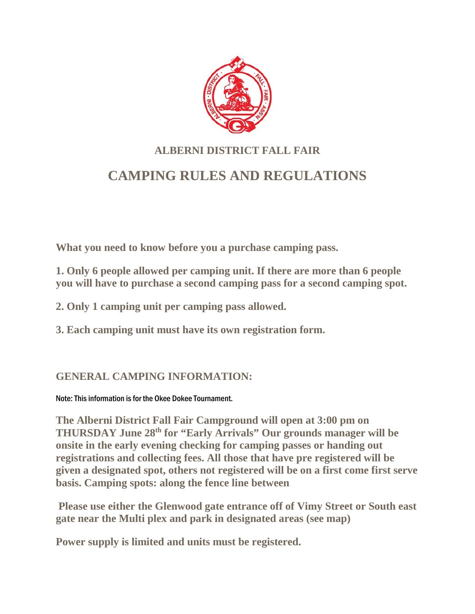

# **ALBERNI DISTRICT FALL FAIR CAMPING RULES AND REGULATIONS**

**What you need to know before you a purchase camping pass.**

**1. Only 6 people allowed per camping unit. If there are more than 6 people you will have to purchase a second camping pass for a second camping spot.**

**2. Only 1 camping unit per camping pass allowed.**

**3. Each camping unit must have its own registration form.**

### **GENERAL CAMPING INFORMATION:**

Note: This information is for the Okee Dokee Tournament.

**The Alberni District Fall Fair Campground will open at 3:00 pm on THURSDAY June 28th for "Early Arrivals" Our grounds manager will be onsite in the early evening checking for camping passes or handing out registrations and collecting fees. All those that have pre registered will be given a designated spot, others not registered will be on a first come first serve basis. Camping spots: along the fence line between** 

**Please use either the Glenwood gate entrance off of Vimy Street or South east gate near the Multi plex and park in designated areas (see map)**

**Power supply is limited and units must be registered.**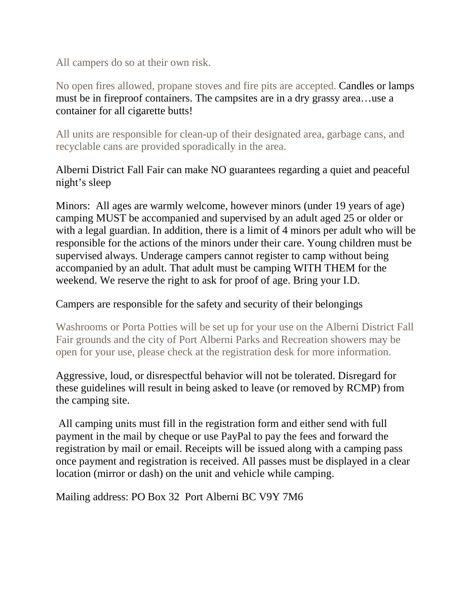All campers do so at their own risk.

No open fires allowed, propane stoves and fire pits are accepted. Candles or lamps must be in fireproof containers. The campsites are in a dry grassy area…use a container for all cigarette butts!

All units are responsible for clean-up of their designated area, garbage cans, and recyclable cans are provided sporadically in the area.

#### Alberni District Fall Fair can make NO guarantees regarding a quiet and peaceful night's sleep

Minors: All ages are warmly welcome, however minors (under 19 years of age) camping MUST be accompanied and supervised by an adult aged 25 or older or with a legal guardian. In addition, there is a limit of 4 minors per adult who will be responsible for the actions of the minors under their care. Young children must be supervised always. Underage campers cannot register to camp without being accompanied by an adult. That adult must be camping WITH THEM for the weekend. We reserve the right to ask for proof of age. Bring your I.D.

#### Campers are responsible for the safety and security of their belongings

Washrooms or Porta Potties will be set up for your use on the Alberni District Fall Fair grounds and the city of Port Alberni Parks and Recreation showers may be open for your use, please check at the registration desk for more information.

Aggressive, loud, or disrespectful behavior will not be tolerated. Disregard for these guidelines will result in being asked to leave (or removed by RCMP) from the camping site.

All camping units must fill in the registration form and either send with full payment in the mail by cheque or use PayPal to pay the fees and forward the registration by mail or email. Receipts will be issued along with a camping pass once payment and registration is received. All passes must be displayed in a clear location (mirror or dash) on the unit and vehicle while camping.

Mailing address: PO Box 32 Port Alberni BC V9Y 7M6